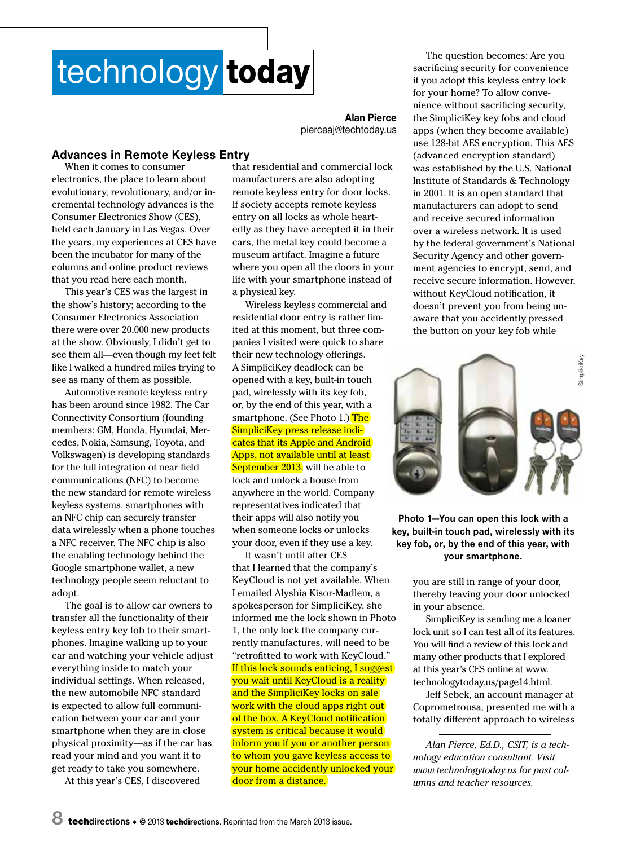## technology today

**Alan Pierce** pierceaj@techtoday.us

## **Advances in Remote Keyless Entry**

When it comes to consumer electronics, the place to learn about evolutionary, revolutionary, and/or incremental technology advances is the Consumer Electronics Show (CES), held each January in Las Vegas. Over the years, my experiences at CES have been the incubator for many of the columns and online product reviews that you read here each month.

This year's CES was the largest in the show's history; according to the Consumer Electronics Association there were over 20,000 new products at the show. Obviously, I didn't get to see them all—even though my feet felt like I walked a hundred miles trying to see as many of them as possible.

Automotive remote keyless entry has been around since 1982. The Car Connectivity Consortium (founding members: GM, Honda, Hyundai, Mercedes, Nokia, Samsung, Toyota, and Volkswagen) is developing standards for the full integration of near field communications (NFC) to become the new standard for remote wireless keyless systems. smartphones with an NFC chip can securely transfer data wirelessly when a phone touches a NFC receiver. The NFC chip is also the enabling technology behind the Google smartphone wallet, a new technology people seem reluctant to adopt.

The goal is to allow car owners to transfer all the functionality of their keyless entry key fob to their smartphones. Imagine walking up to your car and watching your vehicle adjust everything inside to match your individual settings. When released, the new automobile NFC standard is expected to allow full communication between your car and your smartphone when they are in close physical proximity—as if the car has read your mind and you want it to get ready to take you somewhere.

At this year's CES, I discovered

that residential and commercial lock manufacturers are also adopting remote keyless entry for door locks. If society accepts remote keyless entry on all locks as whole heartedly as they have accepted it in their cars, the metal key could become a museum artifact. Imagine a future where you open all the doors in your life with your smartphone instead of a physical key.

Wireless keyless commercial and residential door entry is rather limited at this moment, but three companies I visited were quick to share their new technology offerings. A SimpliciKey deadlock can be opened with a key, built-in touch pad, wirelessly with its key fob, or, by the end of this year, with a smartphone. (See Photo 1.) The SimpliciKey press release indicates that its Apple and Android Apps, not available until at least September 2013, will be able to lock and unlock a house from anywhere in the world. Company representatives indicated that their apps will also notify you when someone locks or unlocks your door, even if they use a key.

It wasn't until after CES that I learned that the company's KeyCloud is not yet available. When I emailed Alyshia Kisor-Madlem, a spokesperson for SimpliciKey, she informed me the lock shown in Photo 1, the only lock the company currently manufactures, will need to be "retrofitted to work with KeyCloud." If this lock sounds enticing, I suggest you wait until KeyCloud is a reality and the SimpliciKey locks on sale work with the cloud apps right out of the box. A KeyCloud notification system is critical because it would inform you if you or another person to whom you gave keyless access to your home accidently unlocked your door from a distance.

The question becomes: Are you sacrificing security for convenience if you adopt this keyless entry lock for your home? To allow convenience without sacrificing security, the SimpliciKey key fobs and cloud apps (when they become available) use 128-bit AES encryption. This AES (advanced encryption standard) was established by the U.S. National Institute of Standards & Technology in 2001. It is an open standard that manufacturers can adopt to send and receive secured information over a wireless network. It is used by the federal government's National Security Agency and other government agencies to encrypt, send, and receive secure information. However, without KeyCloud notification, it doesn't prevent you from being unaware that you accidently pressed the button on your key fob while



**Photo 1—You can open this lock with a key, built-in touch pad, wirelessly with its key fob, or, by the end of this year, with your smartphone.**

> you are still in range of your door, thereby leaving your door unlocked in your absence.

SimpliciKey is sending me a loaner lock unit so I can test all of its features. You will find a review of this lock and many other products that I explored at this year's CES online at www. technologytoday.us/page14.html.

Jeff Sebek, an account manager at Coprometrousa, presented me with a totally different approach to wireless

*Alan Pierce, Ed.D., CSIT, is a technology education consultant. Visit www.technologytoday.us for past columns and teacher resources.*